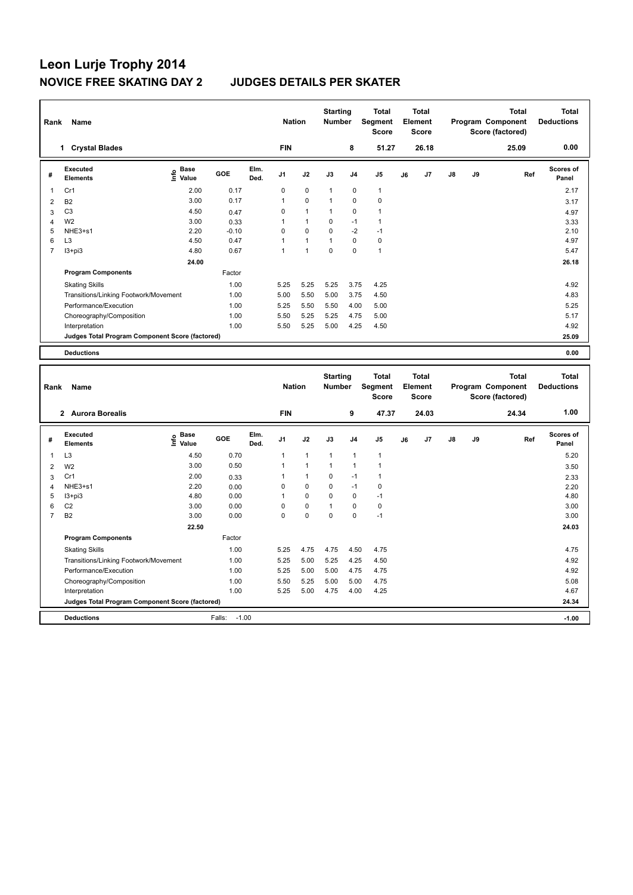| Rank           | Name                                            |                              | <b>Nation</b> |              | <b>Starting</b><br><b>Number</b> |              | <b>Total</b><br>Segment<br><b>Score</b> |                | <b>Total</b><br>Element<br><b>Score</b> |    |       | <b>Total</b><br>Program Component<br>Score (factored) | Total<br><b>Deductions</b> |       |                           |
|----------------|-------------------------------------------------|------------------------------|---------------|--------------|----------------------------------|--------------|-----------------------------------------|----------------|-----------------------------------------|----|-------|-------------------------------------------------------|----------------------------|-------|---------------------------|
|                | <b>Crystal Blades</b><br>1                      |                              |               |              | <b>FIN</b>                       |              |                                         | 8              | 51.27                                   |    | 26.18 |                                                       |                            | 25.09 | 0.00                      |
| #              | Executed<br><b>Elements</b>                     | <b>Base</b><br>lnfo<br>Value | GOE           | Elm.<br>Ded. | J <sub>1</sub>                   | J2           | J3                                      | J <sub>4</sub> | J <sub>5</sub>                          | J6 | J7    | $\mathsf{J}8$                                         | J9                         | Ref   | <b>Scores of</b><br>Panel |
| 1              | Cr1                                             | 2.00                         | 0.17          |              | 0                                | $\mathbf 0$  | $\mathbf{1}$                            | $\mathbf 0$    | $\mathbf{1}$                            |    |       |                                                       |                            |       | 2.17                      |
| 2              | <b>B2</b>                                       | 3.00                         | 0.17          |              | 1                                | $\mathbf 0$  | 1                                       | $\mathbf 0$    | $\mathbf 0$                             |    |       |                                                       |                            |       | 3.17                      |
| 3              | C <sub>3</sub>                                  | 4.50                         | 0.47          |              | 0                                | $\mathbf{1}$ | 1                                       | $\mathbf 0$    | $\mathbf{1}$                            |    |       |                                                       |                            |       | 4.97                      |
| 4              | W <sub>2</sub>                                  | 3.00                         | 0.33          |              | 1                                | $\mathbf{1}$ | $\Omega$                                | $-1$           | 1                                       |    |       |                                                       |                            |       | 3.33                      |
| 5              | NHE3+s1                                         | 2.20                         | $-0.10$       |              | $\mathbf 0$                      | $\mathbf 0$  | $\mathbf 0$                             | $-2$           | $-1$                                    |    |       |                                                       |                            |       | 2.10                      |
| 6              | L <sub>3</sub>                                  | 4.50                         | 0.47          |              | 1                                | $\mathbf{1}$ |                                         | $\mathbf 0$    | 0                                       |    |       |                                                       |                            |       | 4.97                      |
| $\overline{7}$ | $13 + pi3$                                      | 4.80                         | 0.67          |              | 1                                | 1            | $\Omega$                                | $\mathbf 0$    | $\mathbf{1}$                            |    |       |                                                       |                            |       | 5.47                      |
|                |                                                 | 24.00                        |               |              |                                  |              |                                         |                |                                         |    |       |                                                       |                            |       | 26.18                     |
|                | <b>Program Components</b>                       |                              | Factor        |              |                                  |              |                                         |                |                                         |    |       |                                                       |                            |       |                           |
|                | <b>Skating Skills</b>                           |                              | 1.00          |              | 5.25                             | 5.25         | 5.25                                    | 3.75           | 4.25                                    |    |       |                                                       |                            |       | 4.92                      |
|                | Transitions/Linking Footwork/Movement           |                              | 1.00          |              | 5.00                             | 5.50         | 5.00                                    | 3.75           | 4.50                                    |    |       |                                                       |                            |       | 4.83                      |
|                | Performance/Execution                           |                              | 1.00          |              | 5.25                             | 5.50         | 5.50                                    | 4.00           | 5.00                                    |    |       |                                                       |                            |       | 5.25                      |
|                | Choreography/Composition                        |                              | 1.00          |              | 5.50                             | 5.25         | 5.25                                    | 4.75           | 5.00                                    |    |       |                                                       |                            |       | 5.17                      |
|                | Interpretation                                  |                              | 1.00          |              | 5.50                             | 5.25         | 5.00                                    | 4.25           | 4.50                                    |    |       |                                                       |                            |       | 4.92                      |
|                | Judges Total Program Component Score (factored) |                              |               |              |                                  |              |                                         |                |                                         |    |       |                                                       |                            |       | 25.09                     |
|                | <b>Deductions</b>                               |                              |               |              |                                  |              |                                         |                |                                         |    |       |                                                       |                            |       | 0.00                      |

| Rank           | Name                                            |                              |                   |              | <b>Nation</b>  |                | <b>Starting</b><br><b>Number</b> |                | <b>Total</b><br>Segment<br><b>Score</b> |    | <b>Total</b><br>Element<br><b>Score</b> |               |    | <b>Total</b><br>Program Component<br>Score (factored) | <b>Total</b><br><b>Deductions</b> |
|----------------|-------------------------------------------------|------------------------------|-------------------|--------------|----------------|----------------|----------------------------------|----------------|-----------------------------------------|----|-----------------------------------------|---------------|----|-------------------------------------------------------|-----------------------------------|
|                | 2 Aurora Borealis                               |                              |                   |              | <b>FIN</b>     |                |                                  | 9              | 47.37                                   |    | 24.03                                   |               |    | 24.34                                                 | 1.00                              |
| #              | Executed<br><b>Elements</b>                     | <b>Base</b><br>Info<br>Value | GOE               | Elm.<br>Ded. | J <sub>1</sub> | J2             | J3                               | J <sub>4</sub> | J <sub>5</sub>                          | J6 | J7                                      | $\mathsf{J}8$ | J9 | Ref                                                   | <b>Scores of</b><br>Panel         |
| 1              | L <sub>3</sub>                                  | 4.50                         | 0.70              |              | 1              | $\overline{1}$ | $\overline{1}$                   | $\mathbf{1}$   | $\mathbf{1}$                            |    |                                         |               |    |                                                       | 5.20                              |
| $\overline{2}$ | W <sub>2</sub>                                  | 3.00                         | 0.50              |              |                | $\overline{1}$ | 1                                | $\overline{1}$ | 1                                       |    |                                         |               |    |                                                       | 3.50                              |
| 3              | Cr1                                             | 2.00                         | 0.33              |              |                | $\mathbf{1}$   | 0                                | $-1$           | $\mathbf{1}$                            |    |                                         |               |    |                                                       | 2.33                              |
| 4              | NHE3+s1                                         | 2.20                         | 0.00              |              | 0              | $\mathbf 0$    | 0                                | $-1$           | 0                                       |    |                                         |               |    |                                                       | 2.20                              |
| 5              | $13 + pi3$                                      | 4.80                         | 0.00              |              |                | 0              | $\Omega$                         | 0              | $-1$                                    |    |                                         |               |    |                                                       | 4.80                              |
| 6              | C <sub>2</sub>                                  | 3.00                         | 0.00              |              | 0              | $\mathbf 0$    | $\overline{ }$                   | $\mathbf 0$    | 0                                       |    |                                         |               |    |                                                       | 3.00                              |
| $\overline{7}$ | <b>B2</b>                                       | 3.00                         | 0.00              |              | 0              | $\mathbf 0$    | $\Omega$                         | $\mathbf 0$    | $-1$                                    |    |                                         |               |    |                                                       | 3.00                              |
|                |                                                 | 22.50                        |                   |              |                |                |                                  |                |                                         |    |                                         |               |    |                                                       | 24.03                             |
|                | <b>Program Components</b>                       |                              | Factor            |              |                |                |                                  |                |                                         |    |                                         |               |    |                                                       |                                   |
|                | <b>Skating Skills</b>                           |                              | 1.00              |              | 5.25           | 4.75           | 4.75                             | 4.50           | 4.75                                    |    |                                         |               |    |                                                       | 4.75                              |
|                | Transitions/Linking Footwork/Movement           |                              | 1.00              |              | 5.25           | 5.00           | 5.25                             | 4.25           | 4.50                                    |    |                                         |               |    |                                                       | 4.92                              |
|                | Performance/Execution                           |                              | 1.00              |              | 5.25           | 5.00           | 5.00                             | 4.75           | 4.75                                    |    |                                         |               |    |                                                       | 4.92                              |
|                | Choreography/Composition                        |                              | 1.00              |              | 5.50           | 5.25           | 5.00                             | 5.00           | 4.75                                    |    |                                         |               |    |                                                       | 5.08                              |
|                | Interpretation                                  |                              | 1.00              |              | 5.25           | 5.00           | 4.75                             | 4.00           | 4.25                                    |    |                                         |               |    |                                                       | 4.67                              |
|                | Judges Total Program Component Score (factored) |                              |                   |              |                |                |                                  |                |                                         |    |                                         |               |    |                                                       | 24.34                             |
|                | <b>Deductions</b>                               |                              | $-1.00$<br>Falls: |              |                |                |                                  |                |                                         |    |                                         |               |    |                                                       | $-1.00$                           |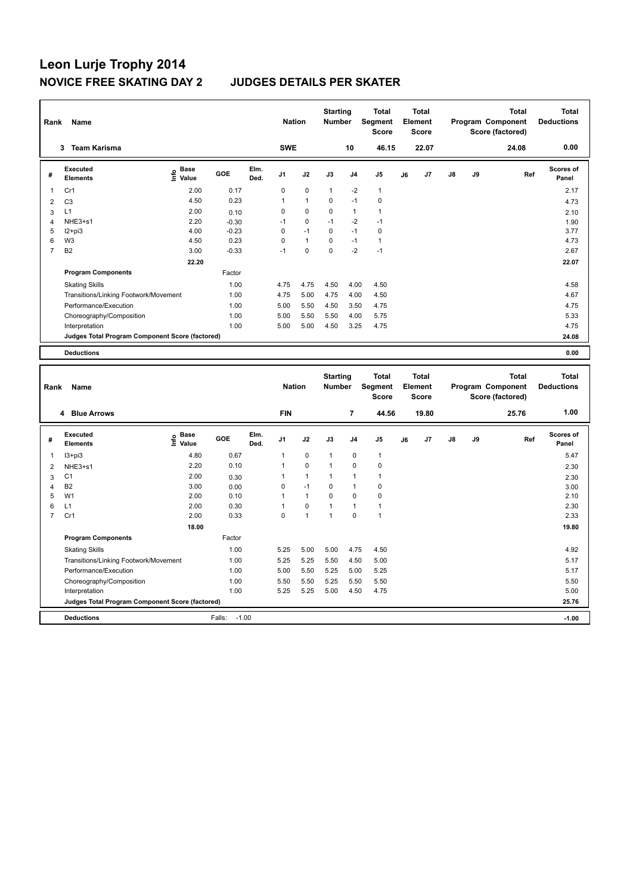# **Leon Lurje Trophy 2014**

### **JUDGES DETAILS PER SKATER**

| Rank           | <b>Name</b>                                     |                                    | <b>Nation</b> |              | <b>Starting</b><br><b>Number</b> |                | <b>Total</b><br>Segment<br><b>Score</b> |                | <b>Total</b><br>Element<br><b>Score</b> |    |       | <b>Total</b><br>Program Component<br>Score (factored) | <b>Total</b><br><b>Deductions</b> |       |                           |
|----------------|-------------------------------------------------|------------------------------------|---------------|--------------|----------------------------------|----------------|-----------------------------------------|----------------|-----------------------------------------|----|-------|-------------------------------------------------------|-----------------------------------|-------|---------------------------|
|                | <b>Team Karisma</b><br>3                        |                                    |               |              | <b>SWE</b>                       |                |                                         | 10             | 46.15                                   |    | 22.07 |                                                       |                                   | 24.08 | 0.00                      |
| #              | Executed<br><b>Elements</b>                     | <b>Base</b><br>$\frac{6}{5}$ Value | GOE           | Elm.<br>Ded. | J <sub>1</sub>                   | J2             | J3                                      | J <sub>4</sub> | J5                                      | J6 | J7    | $\mathsf{J}8$                                         | J9                                | Ref   | <b>Scores of</b><br>Panel |
| -1             | Cr1                                             | 2.00                               | 0.17          |              | 0                                | $\mathbf 0$    | $\mathbf{1}$                            | $-2$           | $\mathbf{1}$                            |    |       |                                                       |                                   |       | 2.17                      |
| $\overline{2}$ | C <sub>3</sub>                                  | 4.50                               | 0.23          |              | 1                                | $\overline{1}$ | 0                                       | $-1$           | $\mathbf 0$                             |    |       |                                                       |                                   |       | 4.73                      |
| 3              | L1                                              | 2.00                               | 0.10          |              | 0                                | 0              | 0                                       | $\mathbf{1}$   | $\mathbf{1}$                            |    |       |                                                       |                                   |       | 2.10                      |
| 4              | $NHE3+s1$                                       | 2.20                               | $-0.30$       |              | $-1$                             | 0              | $-1$                                    | $-2$           | $-1$                                    |    |       |                                                       |                                   |       | 1.90                      |
| 5              | $12+pi3$                                        | 4.00                               | $-0.23$       |              | 0                                | $-1$           | 0                                       | $-1$           | $\pmb{0}$                               |    |       |                                                       |                                   |       | 3.77                      |
| 6              | W <sub>3</sub>                                  | 4.50                               | 0.23          |              | 0                                | $\overline{1}$ | $\Omega$                                | $-1$           | $\mathbf{1}$                            |    |       |                                                       |                                   |       | 4.73                      |
| $\overline{7}$ | B <sub>2</sub>                                  | 3.00                               | $-0.33$       |              | $-1$                             | $\mathbf 0$    | $\Omega$                                | $-2$           | $-1$                                    |    |       |                                                       |                                   |       | 2.67                      |
|                |                                                 | 22.20                              |               |              |                                  |                |                                         |                |                                         |    |       |                                                       |                                   |       | 22.07                     |
|                | <b>Program Components</b>                       |                                    | Factor        |              |                                  |                |                                         |                |                                         |    |       |                                                       |                                   |       |                           |
|                | <b>Skating Skills</b>                           |                                    | 1.00          |              | 4.75                             | 4.75           | 4.50                                    | 4.00           | 4.50                                    |    |       |                                                       |                                   |       | 4.58                      |
|                | Transitions/Linking Footwork/Movement           |                                    | 1.00          |              | 4.75                             | 5.00           | 4.75                                    | 4.00           | 4.50                                    |    |       |                                                       |                                   |       | 4.67                      |
|                | Performance/Execution                           |                                    | 1.00          |              | 5.00                             | 5.50           | 4.50                                    | 3.50           | 4.75                                    |    |       |                                                       |                                   |       | 4.75                      |
|                | Choreography/Composition                        |                                    | 1.00          |              | 5.00                             | 5.50           | 5.50                                    | 4.00           | 5.75                                    |    |       |                                                       |                                   |       | 5.33                      |
|                | Interpretation                                  |                                    | 1.00          |              | 5.00                             | 5.00           | 4.50                                    | 3.25           | 4.75                                    |    |       |                                                       |                                   |       | 4.75                      |
|                | Judges Total Program Component Score (factored) |                                    |               |              |                                  |                |                                         |                |                                         |    |       |                                                       |                                   |       | 24.08                     |
|                | <b>Deductions</b>                               |                                    |               |              |                                  |                |                                         |                |                                         |    |       |                                                       |                                   |       | 0.00                      |

| Rank | <b>Name</b>                                     |                              |                   | <b>Nation</b> |                | <b>Starting</b><br><b>Number</b> |              | <b>Total</b><br>Segment<br><b>Score</b> |                | <b>Total</b><br>Element<br><b>Score</b> |                |               | <b>Total</b><br>Program Component<br>Score (factored) | <b>Total</b><br><b>Deductions</b> |                           |
|------|-------------------------------------------------|------------------------------|-------------------|---------------|----------------|----------------------------------|--------------|-----------------------------------------|----------------|-----------------------------------------|----------------|---------------|-------------------------------------------------------|-----------------------------------|---------------------------|
|      | 4 Blue Arrows                                   |                              |                   |               | <b>FIN</b>     |                                  |              | $\overline{7}$                          | 44.56          |                                         | 19.80          |               |                                                       | 25.76                             | 1.00                      |
| #    | Executed<br><b>Elements</b>                     | <b>Base</b><br>lnfo<br>Value | GOE               | Elm.<br>Ded.  | J <sub>1</sub> | J2                               | J3           | J <sub>4</sub>                          | J <sub>5</sub> | J6                                      | J <sub>7</sub> | $\mathsf{J}8$ | J9                                                    | Ref                               | <b>Scores of</b><br>Panel |
| 1    | $13 + pi3$                                      | 4.80                         | 0.67              |               | 1              | $\mathbf 0$                      | $\mathbf{1}$ | 0                                       | $\mathbf{1}$   |                                         |                |               |                                                       |                                   | 5.47                      |
| 2    | NHE3+s1                                         | 2.20                         | 0.10              |               | 1              | $\mathbf 0$                      | 1            | $\mathbf 0$                             | $\pmb{0}$      |                                         |                |               |                                                       |                                   | 2.30                      |
| 3    | C <sub>1</sub>                                  | 2.00                         | 0.30              |               | 1              | $\mathbf{1}$                     | 1            | $\overline{1}$                          | $\mathbf{1}$   |                                         |                |               |                                                       |                                   | 2.30                      |
| 4    | <b>B2</b>                                       | 3.00                         | 0.00              |               | 0              | $-1$                             | $\Omega$     | $\overline{1}$                          | 0              |                                         |                |               |                                                       |                                   | 3.00                      |
| 5    | W <sub>1</sub>                                  | 2.00                         | 0.10              |               | 1              | $\mathbf{1}$                     | 0            | 0                                       | 0              |                                         |                |               |                                                       |                                   | 2.10                      |
| 6    | L1                                              | 2.00                         | 0.30              |               | 1              | $\mathbf 0$                      |              | $\overline{1}$                          | $\overline{1}$ |                                         |                |               |                                                       |                                   | 2.30                      |
| 7    | Cr1                                             | 2.00                         | 0.33              |               | 0              | $\overline{1}$                   | 1            | $\Omega$                                | $\overline{1}$ |                                         |                |               |                                                       |                                   | 2.33                      |
|      |                                                 | 18.00                        |                   |               |                |                                  |              |                                         |                |                                         |                |               |                                                       |                                   | 19.80                     |
|      | <b>Program Components</b>                       |                              | Factor            |               |                |                                  |              |                                         |                |                                         |                |               |                                                       |                                   |                           |
|      | <b>Skating Skills</b>                           |                              | 1.00              |               | 5.25           | 5.00                             | 5.00         | 4.75                                    | 4.50           |                                         |                |               |                                                       |                                   | 4.92                      |
|      | Transitions/Linking Footwork/Movement           |                              | 1.00              |               | 5.25           | 5.25                             | 5.50         | 4.50                                    | 5.00           |                                         |                |               |                                                       |                                   | 5.17                      |
|      | Performance/Execution                           |                              | 1.00              |               | 5.00           | 5.50                             | 5.25         | 5.00                                    | 5.25           |                                         |                |               |                                                       |                                   | 5.17                      |
|      | Choreography/Composition                        |                              | 1.00              |               | 5.50           | 5.50                             | 5.25         | 5.50                                    | 5.50           |                                         |                |               |                                                       |                                   | 5.50                      |
|      | Interpretation                                  |                              | 1.00              |               | 5.25           | 5.25                             | 5.00         | 4.50                                    | 4.75           |                                         |                |               |                                                       |                                   | 5.00                      |
|      | Judges Total Program Component Score (factored) |                              |                   |               |                |                                  |              |                                         |                |                                         |                |               |                                                       |                                   | 25.76                     |
|      | <b>Deductions</b>                               |                              | $-1.00$<br>Falls: |               |                |                                  |              |                                         |                |                                         |                |               |                                                       |                                   | $-1.00$                   |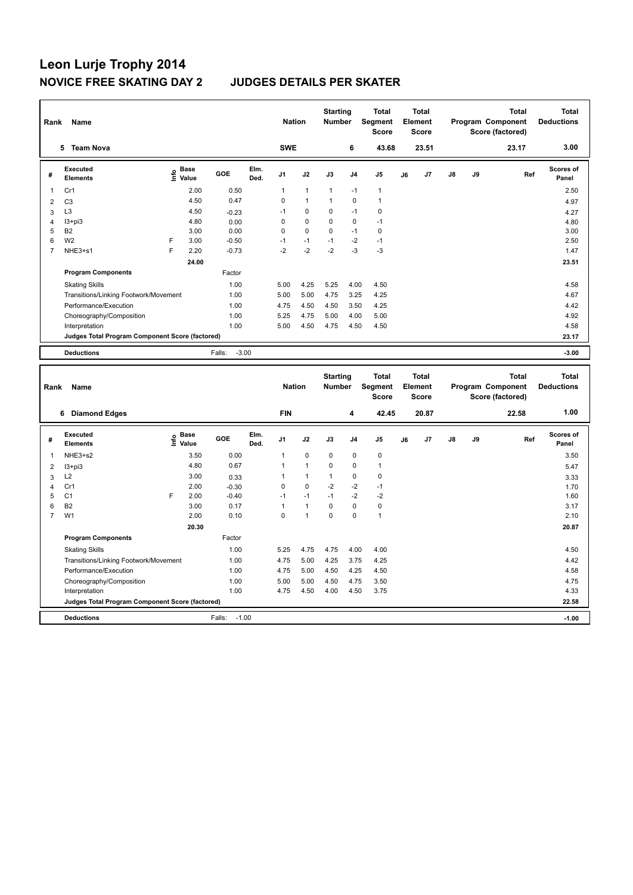| Rank           | Name                                            |      |                      |                   |              | <b>Nation</b>  |              | <b>Starting</b><br><b>Number</b> |                | <b>Total</b><br>Segment<br><b>Score</b> |    | <b>Total</b><br>Element<br>Score |               |    | <b>Total</b><br>Program Component<br>Score (factored) | Total<br><b>Deductions</b> |
|----------------|-------------------------------------------------|------|----------------------|-------------------|--------------|----------------|--------------|----------------------------------|----------------|-----------------------------------------|----|----------------------------------|---------------|----|-------------------------------------------------------|----------------------------|
|                | 5 Team Nova                                     |      |                      |                   |              | <b>SWE</b>     |              |                                  | 6              | 43.68                                   |    | 23.51                            |               |    | 23.17                                                 | 3.00                       |
| #              | Executed<br><b>Elements</b>                     | lnfo | <b>Base</b><br>Value | GOE               | Elm.<br>Ded. | J <sub>1</sub> | J2           | J3                               | J <sub>4</sub> | J <sub>5</sub>                          | J6 | J7                               | $\mathsf{J}8$ | J9 | Ref                                                   | <b>Scores of</b><br>Panel  |
| 1              | Cr1                                             |      | 2.00                 | 0.50              |              | 1              | $\mathbf{1}$ | 1                                | $-1$           | $\mathbf{1}$                            |    |                                  |               |    |                                                       | 2.50                       |
| 2              | C <sub>3</sub>                                  |      | 4.50                 | 0.47              |              | $\Omega$       | $\mathbf{1}$ | 1                                | $\mathbf 0$    | 1                                       |    |                                  |               |    |                                                       | 4.97                       |
| 3              | L <sub>3</sub>                                  |      | 4.50                 | $-0.23$           |              | $-1$           | 0            | 0                                | $-1$           | 0                                       |    |                                  |               |    |                                                       | 4.27                       |
| 4              | $13 + pi3$                                      |      | 4.80                 | 0.00              |              | $\Omega$       | $\Omega$     | $\Omega$                         | $\mathbf 0$    | $-1$                                    |    |                                  |               |    |                                                       | 4.80                       |
| 5              | <b>B2</b>                                       |      | 3.00                 | 0.00              |              | $\mathbf 0$    | $\mathbf 0$  | $\mathbf 0$                      | $-1$           | $\mathbf 0$                             |    |                                  |               |    |                                                       | 3.00                       |
| 6              | W <sub>2</sub>                                  | F    | 3.00                 | $-0.50$           |              | $-1$           | $-1$         | $-1$                             | $-2$           | $-1$                                    |    |                                  |               |    |                                                       | 2.50                       |
| $\overline{7}$ | NHE3+s1                                         | F    | 2.20                 | $-0.73$           |              | $-2$           | $-2$         | $-2$                             | $-3$           | $-3$                                    |    |                                  |               |    |                                                       | 1.47                       |
|                |                                                 |      | 24.00                |                   |              |                |              |                                  |                |                                         |    |                                  |               |    |                                                       | 23.51                      |
|                | <b>Program Components</b>                       |      |                      | Factor            |              |                |              |                                  |                |                                         |    |                                  |               |    |                                                       |                            |
|                | <b>Skating Skills</b>                           |      |                      | 1.00              |              | 5.00           | 4.25         | 5.25                             | 4.00           | 4.50                                    |    |                                  |               |    |                                                       | 4.58                       |
|                | Transitions/Linking Footwork/Movement           |      |                      | 1.00              |              | 5.00           | 5.00         | 4.75                             | 3.25           | 4.25                                    |    |                                  |               |    |                                                       | 4.67                       |
|                | Performance/Execution                           |      |                      | 1.00              |              | 4.75           | 4.50         | 4.50                             | 3.50           | 4.25                                    |    |                                  |               |    |                                                       | 4.42                       |
|                | Choreography/Composition                        |      |                      | 1.00              |              | 5.25           | 4.75         | 5.00                             | 4.00           | 5.00                                    |    |                                  |               |    |                                                       | 4.92                       |
|                | Interpretation                                  |      |                      | 1.00              |              | 5.00           | 4.50         | 4.75                             | 4.50           | 4.50                                    |    |                                  |               |    |                                                       | 4.58                       |
|                | Judges Total Program Component Score (factored) |      |                      |                   |              |                |              |                                  |                |                                         |    |                                  |               |    |                                                       | 23.17                      |
|                | <b>Deductions</b>                               |      |                      | $-3.00$<br>Falls: |              |                |              |                                  |                |                                         |    |                                  |               |    |                                                       | $-3.00$                    |

| Rank                    | <b>Name</b>                                     |      |                      |                   |              | <b>Nation</b>  |                | <b>Starting</b><br><b>Number</b> |                | <b>Total</b><br>Segment<br><b>Score</b> |    | <b>Total</b><br>Element<br><b>Score</b> |               |    | <b>Total</b><br>Program Component<br>Score (factored) | <b>Total</b><br><b>Deductions</b> |
|-------------------------|-------------------------------------------------|------|----------------------|-------------------|--------------|----------------|----------------|----------------------------------|----------------|-----------------------------------------|----|-----------------------------------------|---------------|----|-------------------------------------------------------|-----------------------------------|
|                         | <b>Diamond Edges</b><br>6                       |      |                      |                   |              | <b>FIN</b>     |                |                                  | 4              | 42.45                                   |    | 20.87                                   |               |    | 22.58                                                 | 1.00                              |
| #                       | Executed<br><b>Elements</b>                     | Info | <b>Base</b><br>Value | GOE               | Elm.<br>Ded. | J <sub>1</sub> | J2             | J3                               | J <sub>4</sub> | J <sub>5</sub>                          | J6 | J7                                      | $\mathsf{J}8$ | J9 | Ref                                                   | <b>Scores of</b><br>Panel         |
| $\overline{\mathbf{1}}$ | NHE3+s2                                         |      | 3.50                 | 0.00              |              |                | $\mathbf 0$    | $\mathbf 0$                      | $\mathbf 0$    | $\mathbf 0$                             |    |                                         |               |    |                                                       | 3.50                              |
| 2                       | $13 + pi3$                                      |      | 4.80                 | 0.67              |              |                | $\overline{1}$ | $\mathbf 0$                      | $\mathbf 0$    | $\overline{1}$                          |    |                                         |               |    |                                                       | 5.47                              |
| 3                       | L2                                              |      | 3.00                 | 0.33              |              |                | $\mathbf{1}$   |                                  | 0              | 0                                       |    |                                         |               |    |                                                       | 3.33                              |
| 4                       | Cr1                                             |      | 2.00                 | $-0.30$           |              | 0              | $\mathbf 0$    | $-2$                             | $-2$           | $-1$                                    |    |                                         |               |    |                                                       | 1.70                              |
| 5                       | C <sub>1</sub>                                  | F    | 2.00                 | $-0.40$           |              | $-1$           | $-1$           | $-1$                             | $-2$           | $-2$                                    |    |                                         |               |    |                                                       | 1.60                              |
| 6                       | B <sub>2</sub>                                  |      | 3.00                 | 0.17              |              | 1              | $\mathbf{1}$   | $\Omega$                         | $\mathbf 0$    | 0                                       |    |                                         |               |    |                                                       | 3.17                              |
| $\overline{7}$          | W <sub>1</sub>                                  |      | 2.00                 | 0.10              |              | 0              | 1              | 0                                | $\mathbf 0$    | $\mathbf{1}$                            |    |                                         |               |    |                                                       | 2.10                              |
|                         |                                                 |      | 20.30                |                   |              |                |                |                                  |                |                                         |    |                                         |               |    |                                                       | 20.87                             |
|                         | <b>Program Components</b>                       |      |                      | Factor            |              |                |                |                                  |                |                                         |    |                                         |               |    |                                                       |                                   |
|                         | <b>Skating Skills</b>                           |      |                      | 1.00              |              | 5.25           | 4.75           | 4.75                             | 4.00           | 4.00                                    |    |                                         |               |    |                                                       | 4.50                              |
|                         | Transitions/Linking Footwork/Movement           |      |                      | 1.00              |              | 4.75           | 5.00           | 4.25                             | 3.75           | 4.25                                    |    |                                         |               |    |                                                       | 4.42                              |
|                         | Performance/Execution                           |      |                      | 1.00              |              | 4.75           | 5.00           | 4.50                             | 4.25           | 4.50                                    |    |                                         |               |    |                                                       | 4.58                              |
|                         | Choreography/Composition                        |      |                      | 1.00              |              | 5.00           | 5.00           | 4.50                             | 4.75           | 3.50                                    |    |                                         |               |    |                                                       | 4.75                              |
|                         | Interpretation                                  |      |                      | 1.00              |              | 4.75           | 4.50           | 4.00                             | 4.50           | 3.75                                    |    |                                         |               |    |                                                       | 4.33                              |
|                         | Judges Total Program Component Score (factored) |      |                      |                   |              |                |                |                                  |                |                                         |    |                                         |               |    |                                                       | 22.58                             |
|                         | <b>Deductions</b>                               |      |                      | $-1.00$<br>Falls: |              |                |                |                                  |                |                                         |    |                                         |               |    |                                                       | $-1.00$                           |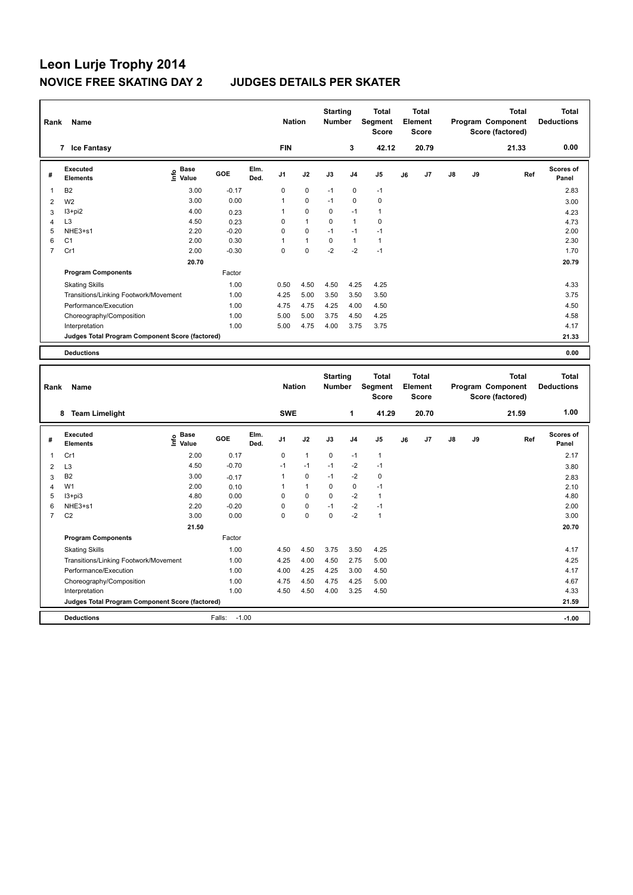| Rank           | Name                                            |                                    |         | <b>Nation</b> |                | <b>Starting</b><br><b>Number</b> |             | <b>Total</b><br>Segment<br><b>Score</b> |                | <b>Total</b><br>Element<br><b>Score</b> |       |               | <b>Total</b><br>Program Component<br>Score (factored) | <b>Total</b><br><b>Deductions</b> |                           |
|----------------|-------------------------------------------------|------------------------------------|---------|---------------|----------------|----------------------------------|-------------|-----------------------------------------|----------------|-----------------------------------------|-------|---------------|-------------------------------------------------------|-----------------------------------|---------------------------|
|                | <b>Ice Fantasy</b><br>$\overline{7}$            |                                    |         |               | <b>FIN</b>     |                                  |             | 3                                       | 42.12          |                                         | 20.79 |               |                                                       | 21.33                             | 0.00                      |
| #              | Executed<br><b>Elements</b>                     | <b>Base</b><br>$\frac{6}{5}$ Value | GOE     | Elm.<br>Ded.  | J <sub>1</sub> | J2                               | J3          | J <sub>4</sub>                          | J <sub>5</sub> | J6                                      | J7    | $\mathsf{J}8$ | J9                                                    | Ref                               | <b>Scores of</b><br>Panel |
| 1              | <b>B2</b>                                       | 3.00                               | $-0.17$ |               | $\Omega$       | 0                                | $-1$        | 0                                       | $-1$           |                                         |       |               |                                                       |                                   | 2.83                      |
| $\overline{2}$ | W <sub>2</sub>                                  | 3.00                               | 0.00    |               |                | $\mathbf 0$                      | $-1$        | $\mathbf 0$                             | $\mathbf 0$    |                                         |       |               |                                                       |                                   | 3.00                      |
| 3              | $13 + pi2$                                      | 4.00                               | 0.23    |               |                | $\mathbf 0$                      | 0           | $-1$                                    | $\mathbf{1}$   |                                         |       |               |                                                       |                                   | 4.23                      |
| 4              | L <sub>3</sub>                                  | 4.50                               | 0.23    |               | $\Omega$       | $\mathbf{1}$                     | $\Omega$    | $\mathbf{1}$                            | 0              |                                         |       |               |                                                       |                                   | 4.73                      |
| 5              | NHE3+s1                                         | 2.20                               | $-0.20$ |               | 0              | $\mathbf 0$                      | $-1$        | $-1$                                    | $-1$           |                                         |       |               |                                                       |                                   | 2.00                      |
| 6              | C <sub>1</sub>                                  | 2.00                               | 0.30    |               | 1              | $\mathbf{1}$                     | $\mathbf 0$ | $\mathbf{1}$                            | $\mathbf{1}$   |                                         |       |               |                                                       |                                   | 2.30                      |
| $\overline{7}$ | Cr1                                             | 2.00                               | $-0.30$ |               | $\Omega$       | $\mathbf 0$                      | $-2$        | $-2$                                    | $-1$           |                                         |       |               |                                                       |                                   | 1.70                      |
|                |                                                 | 20.70                              |         |               |                |                                  |             |                                         |                |                                         |       |               |                                                       |                                   | 20.79                     |
|                | <b>Program Components</b>                       |                                    | Factor  |               |                |                                  |             |                                         |                |                                         |       |               |                                                       |                                   |                           |
|                | <b>Skating Skills</b>                           |                                    | 1.00    |               | 0.50           | 4.50                             | 4.50        | 4.25                                    | 4.25           |                                         |       |               |                                                       |                                   | 4.33                      |
|                | Transitions/Linking Footwork/Movement           |                                    | 1.00    |               | 4.25           | 5.00                             | 3.50        | 3.50                                    | 3.50           |                                         |       |               |                                                       |                                   | 3.75                      |
|                | Performance/Execution                           |                                    | 1.00    |               | 4.75           | 4.75                             | 4.25        | 4.00                                    | 4.50           |                                         |       |               |                                                       |                                   | 4.50                      |
|                | Choreography/Composition                        |                                    | 1.00    |               | 5.00           | 5.00                             | 3.75        | 4.50                                    | 4.25           |                                         |       |               |                                                       |                                   | 4.58                      |
|                | Interpretation                                  |                                    | 1.00    |               | 5.00           | 4.75                             | 4.00        | 3.75                                    | 3.75           |                                         |       |               |                                                       |                                   | 4.17                      |
|                | Judges Total Program Component Score (factored) |                                    |         |               |                |                                  |             |                                         |                |                                         |       |               |                                                       |                                   | 21.33                     |
|                | <b>Deductions</b>                               |                                    |         |               |                |                                  |             |                                         |                |                                         |       |               |                                                       |                                   | 0.00                      |

| Rank                    | Name                                            |                              |                   |              | <b>Nation</b>  |                | <b>Starting</b><br><b>Number</b> |                | <b>Total</b><br>Segment<br><b>Score</b> |    | <b>Total</b><br>Element<br><b>Score</b> |               |    | <b>Total</b><br>Program Component<br>Score (factored) | <b>Total</b><br><b>Deductions</b> |
|-------------------------|-------------------------------------------------|------------------------------|-------------------|--------------|----------------|----------------|----------------------------------|----------------|-----------------------------------------|----|-----------------------------------------|---------------|----|-------------------------------------------------------|-----------------------------------|
|                         | <b>Team Limelight</b><br>8                      |                              |                   |              | <b>SWE</b>     |                |                                  | 1              | 41.29                                   |    | 20.70                                   |               |    | 21.59                                                 | 1.00                              |
| #                       | Executed<br><b>Elements</b>                     | <b>Base</b><br>lnfo<br>Value | GOE               | Elm.<br>Ded. | J <sub>1</sub> | J2             | J3                               | J <sub>4</sub> | J <sub>5</sub>                          | J6 | J7                                      | $\mathsf{J}8$ | J9 | Ref                                                   | <b>Scores of</b><br>Panel         |
| $\overline{\mathbf{1}}$ | Cr1                                             | 2.00                         | 0.17              |              | 0              | $\mathbf{1}$   | 0                                | $-1$           | $\mathbf{1}$                            |    |                                         |               |    |                                                       | 2.17                              |
| $\overline{2}$          | L <sub>3</sub>                                  | 4.50                         | $-0.70$           |              | $-1$           | $-1$           | $-1$                             | $-2$           | $-1$                                    |    |                                         |               |    |                                                       | 3.80                              |
| 3                       | B <sub>2</sub>                                  | 3.00                         | $-0.17$           |              | 1              | $\mathbf 0$    | $-1$                             | $-2$           | 0                                       |    |                                         |               |    |                                                       | 2.83                              |
| 4                       | W <sub>1</sub>                                  | 2.00                         | 0.10              |              |                | $\overline{1}$ | 0                                | 0              | $-1$                                    |    |                                         |               |    |                                                       | 2.10                              |
| 5                       | I3+pi3                                          | 4.80                         | 0.00              |              | 0              | 0              | $\Omega$                         | $-2$           | $\mathbf{1}$                            |    |                                         |               |    |                                                       | 4.80                              |
| 6                       | NHE3+s1                                         | 2.20                         | $-0.20$           |              | 0              | $\mathbf 0$    | $-1$                             | $-2$           | $-1$                                    |    |                                         |               |    |                                                       | 2.00                              |
| $\overline{7}$          | C <sub>2</sub>                                  | 3.00                         | 0.00              |              | 0              | $\mathbf 0$    | 0                                | $-2$           | $\mathbf{1}$                            |    |                                         |               |    |                                                       | 3.00                              |
|                         |                                                 | 21.50                        |                   |              |                |                |                                  |                |                                         |    |                                         |               |    |                                                       | 20.70                             |
|                         | <b>Program Components</b>                       |                              | Factor            |              |                |                |                                  |                |                                         |    |                                         |               |    |                                                       |                                   |
|                         | <b>Skating Skills</b>                           |                              | 1.00              |              | 4.50           | 4.50           | 3.75                             | 3.50           | 4.25                                    |    |                                         |               |    |                                                       | 4.17                              |
|                         | Transitions/Linking Footwork/Movement           |                              | 1.00              |              | 4.25           | 4.00           | 4.50                             | 2.75           | 5.00                                    |    |                                         |               |    |                                                       | 4.25                              |
|                         | Performance/Execution                           |                              | 1.00              |              | 4.00           | 4.25           | 4.25                             | 3.00           | 4.50                                    |    |                                         |               |    |                                                       | 4.17                              |
|                         | Choreography/Composition                        |                              | 1.00              |              | 4.75           | 4.50           | 4.75                             | 4.25           | 5.00                                    |    |                                         |               |    |                                                       | 4.67                              |
|                         | Interpretation                                  |                              | 1.00              |              | 4.50           | 4.50           | 4.00                             | 3.25           | 4.50                                    |    |                                         |               |    |                                                       | 4.33                              |
|                         | Judges Total Program Component Score (factored) |                              |                   |              |                |                |                                  |                |                                         |    |                                         |               |    |                                                       | 21.59                             |
|                         | <b>Deductions</b>                               |                              | $-1.00$<br>Falls: |              |                |                |                                  |                |                                         |    |                                         |               |    |                                                       | $-1.00$                           |